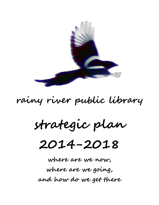

# rainy river public library

**strategic plan** 

# **2014-2018**

**where are we now, where are we going, and how do we get there**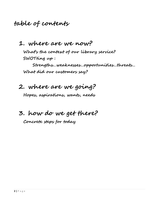## **table of contents**

### **1. where are we now?**

**What's the context of our library service? SWOTting up :** 

**Strengths…weaknesses…opportunities…threats… What did our customers say?**

### **2. where are we going?**

**Hopes, aspirations, wants, needs**

# **3. how do we get there?**

**Concrete steps for today**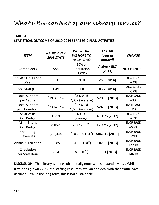# **What's the context of our library service?**

### **TABLE A.**

### **STATISTICAL OUTCOME OF 2010-2014 STRATEGIC PLAN ACTIVITIES**

| <b>ITEM</b>                           | <b>RAINY RIVER</b><br><b>2008 STATS</b> | <b>WHERE DID</b><br><b>WE HOPE TO</b><br><b>BE IN 2014?</b> | <b>ACTUAL</b><br>[year as<br>marked] | <b>CHANGE</b>             |
|---------------------------------------|-----------------------------------------|-------------------------------------------------------------|--------------------------------------|---------------------------|
| Cardholders                           | 588                                     | 50% of<br>Population<br>(1,031)                             | Active = $587$<br>$[2013]$           | <b>NO CHANGE --</b>       |
| Service Hours per<br>Week             | 33.0                                    | 30.0                                                        | 25.0 [2014]                          | <b>DECREASE</b><br>$-24%$ |
| <b>Total Staff (FTE)</b>              | 1.49                                    | 1.0                                                         | $0.72$ [2014]                        | <b>DECREASE</b><br>$-52%$ |
| Local Support<br>per Capita           | $$19.35$ (all)                          | $$34.34 \omega$<br>$2,062$ (average)                        | \$20.06 [2013]                       | <b>INCREASE</b><br>$+3%$  |
| <b>Local Support</b><br>per Household | $$23.62$ (all)                          | \$52.63 $@$<br>1,689 (average)                              | \$24.09 [2013]                       | <b>INCREASE</b><br>$+2%$  |
| Salaries as<br>% of Budget            | 66.29%                                  | 60.0%<br>(average)                                          | 49.11% [2012]                        | <b>DECREASE</b><br>$-26%$ |
| Materials as<br>% of Budget           | 8.06%                                   | $20.0\%$ (10 <sup>th</sup> )                                | 12.37% [2012]                        | <b>INCREASE</b><br>+53%   |
| Operating<br>Revenues                 | \$66,444                                | $$103,250 (10^{th})$                                        | \$86,016 [2013]                      | <b>INCREASE</b><br>$+29%$ |
| <b>Annual Circulation</b>             | 6,885                                   | $14,500(10^{th})$                                           | 18,583 [2013]                        | <b>INCREASE</b><br>+270%  |
| Circulation<br>per Staff Hour         | 2.54                                    | $8.0(10^{th})$                                              | 11.91 [2013]                         | <b>INCREASE</b><br>+469%  |

**DISCUSSION:** The Library is doing substantially more with substantially less. While traffic has grown 270%, the staffing resources available to deal with that traffic have declined 52%. In the long term, this is not sustainable.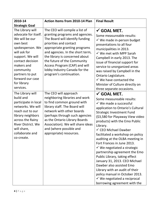| 2010-14                                                                                                                                                                                                                                          | Action Items from 2010-14 Plan                                                                                                                                                                                                                                                                                                                                    | <b>Final Result</b>                                                                                                                                                                                                                                                                                                                                                                                                                                                                                                                                                                                                                                                                                     |
|--------------------------------------------------------------------------------------------------------------------------------------------------------------------------------------------------------------------------------------------------|-------------------------------------------------------------------------------------------------------------------------------------------------------------------------------------------------------------------------------------------------------------------------------------------------------------------------------------------------------------------|---------------------------------------------------------------------------------------------------------------------------------------------------------------------------------------------------------------------------------------------------------------------------------------------------------------------------------------------------------------------------------------------------------------------------------------------------------------------------------------------------------------------------------------------------------------------------------------------------------------------------------------------------------------------------------------------------------|
| <b>Strategic Goal</b>                                                                                                                                                                                                                            |                                                                                                                                                                                                                                                                                                                                                                   |                                                                                                                                                                                                                                                                                                                                                                                                                                                                                                                                                                                                                                                                                                         |
| The Library will<br>advocate for itself.<br>We will be our<br>own best<br>spokesperson. We<br>will ask for<br>support. We will<br>contact decision<br>makers and<br>community<br>partners to put<br>forward our case<br>for library<br>services. | The CEO will compile a list of<br>granting programs and agencies.<br>The Board will identify funding<br>priorities and contact<br>appropriate granting programs<br>and agencies. In the short term,<br>the library is concerned about<br>the future of the Community<br>Access Program (CAP) and will<br>lobby Industry Canada for the<br>program's continuation. | $\checkmark$ GOAL MET.<br>Some measureable results:<br>$\checkmark$ We made in-person budget<br>presentations to all four<br>municipalities in 2013.<br>$\checkmark$ We met with MPP Sarah<br>Campbell in early 2013. The<br>issue of financial support for<br>service to unorganized areas<br>was raised by Campbell in the<br>Ontario Legislature.<br>$\checkmark$ We have contacted the<br>Minister of Culture directly on<br>three separate occasions.                                                                                                                                                                                                                                              |
| The Library will<br>build and<br>participate in local<br>networks. We will<br>reach out to our<br>library neighbors<br>across the Rainy<br>River District. We<br>will share,<br>collaborate and<br>co-create.                                    | The CEO will approach<br>neighboring libraries and work<br>to find common ground with<br>library staff. The Board will<br>network with other boards<br>(perhaps through such agencies<br>as the Ontario Library Boards<br>Association). We will share ideas<br>and (where possible and<br>appropriate) resources.                                                 | $\checkmark$ GOAL MET.<br>Some measureable results:<br>$\checkmark$ We made a successful<br>application to Ontario's Cultural<br><b>Strategic Investment Fund</b><br>(\$3,580 for Playaway View video<br>products) with the Emo Public<br>Library.<br>✓ CEO Michael Dawber<br>facilitated a workshop on policy<br>auditing at the OLBA meeting in<br>Fort Frances in June 2013.<br>$\checkmark$ We negotiated a strategic<br>partnership agreement the Emo<br>Public Library, taking effect<br>January 31, 2013. CEO Michael<br>Dawber also assisted Emo<br>Library with an audit of their<br>policy manual in October 2013.<br>$\checkmark$ We negotiated a reciprocal<br>borrowing agreement with the |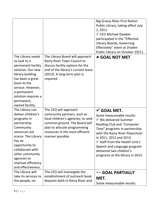|                                                                                                                                                                                                                                                         |                                                                                                                                                                                                                    | <b>Big Grassy River First Nation</b><br>Public Library, taking effect July<br>1, 2011.<br>✓ CEO Michael Dawber<br>participated in the "Effective<br>Library Boards, Governing<br>Effectively" event at Dryden<br>Public Library on October 29/11.                                                                                                                       |
|---------------------------------------------------------------------------------------------------------------------------------------------------------------------------------------------------------------------------------------------------------|--------------------------------------------------------------------------------------------------------------------------------------------------------------------------------------------------------------------|-------------------------------------------------------------------------------------------------------------------------------------------------------------------------------------------------------------------------------------------------------------------------------------------------------------------------------------------------------------------------|
| The Library needs<br>to look to a<br>permanent facility<br>solution. Our new<br>library building<br>has been a great<br>boon to the<br>service. However,<br>a permanent<br>solution requires a<br>permanent,<br>owned facility.                         | The Library Board will approach<br>Rainy River Town Council to<br>discuss facility options for the<br>end of the library's current lease<br>(2013). A long-term plan is<br>required.                               | <b>* GOAL NOT MET</b>                                                                                                                                                                                                                                                                                                                                                   |
| The Library can<br>deliver children's<br>programs in<br>partnership.<br>Community<br>resources are<br>scarce. The Library<br>has an<br>opportunity to<br>collaborate with<br>other community<br>agencies to<br>improve efficiency<br>and effectiveness. | The CEO will approach<br>community partners, such as<br>local children's agencies, to seek<br>common ground. The Board will<br>plan to allocate programming<br>resources in the most efficient<br>manner possible. | $\checkmark$ GOAL MET.<br>Some measureable results:<br>$\checkmark$ We delivered Summer<br><b>Reading Club and "Computer</b><br>Time" programs in partnership<br>with the Rainy River Playschool<br>in 2011, 2012 and 2013.<br>$\checkmark$ Staff from the Health Unit's<br>Speech and Language program<br>delivered two children's<br>programs at the library in 2013. |
| The Library will<br>take its services to<br>the people, no                                                                                                                                                                                              | The CEO will investigate the<br>establishment of outreach book<br>deposits both in Rainy River and                                                                                                                 | $\leftrightarrow$ GOAL PARTIALLY<br>MET.<br>Some measureable results:                                                                                                                                                                                                                                                                                                   |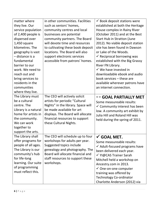| matter where         | in other communities. Facilities   | $\checkmark$ Book deposit stations were  |
|----------------------|------------------------------------|------------------------------------------|
| they live. Our       | such as seniors' homes,            | established at both the Heritage         |
| service population   | community centres and local        | House complex in Rainy River             |
| of 2,400 people is   | businesses are potential           | (October 2011) and at the Best           |
| dispersed over       | community partners. The Board      | <b>Start Hub in Stratton (June</b>       |
| 1,450 square         | will devote time and resources     | 2012). No viable deposit station         |
| kilometres. The      | to cultivating these book deposit  | site has been found in Dawson            |
| geography is vast    | locations. The Board will also     | or Lake of the Woods.                    |
| - distance is a      | support electronic services        | $\checkmark$ Reciprocal borrowing was    |
| fundamental          | accessible from patrons' homes.    | established with the Big Grassy          |
| barrier to our       |                                    | River FN Library.                        |
| work. We need to     |                                    | $\checkmark$ We have invested in         |
| reach out and        |                                    | downloadable ebook and audio             |
| bring services to    |                                    | book services - these are                |
| residents in the     |                                    | available wherever patrons have          |
| communities          |                                    | an internet connection.                  |
| where they live.     |                                    |                                          |
| The Library must     | The CEO will actively solicit      | $\leftrightarrow$ GOAL PARTIALLY MET     |
| be a cultural        | artists for periodic "Cultural     | Some measureable results:                |
| centre. The          | Nights" in the library. Space will | $\checkmark$ Community interest has been |
| Library is a natural | be made available for art          | low. A community art exhibit by          |
| home for artists in  | displays. The Board will allocate  | Julia Hill and Roland Hill was           |
| the community.       | financial resources to support     | held during the spring of 2011.          |
| We can work          | these Cultural Nights.             |                                          |
| together to          |                                    |                                          |
| support the arts.    |                                    |                                          |
| The Library shall    | The CEO will schedule up to four   | $\checkmark$ GOAL MET.                   |
| offer programs for   | workshops for adults per year.     | Some measureable results:                |
| people of all ages.  | Suggested topics include           | $\checkmark$ Adult-focused programs have |
| The Library is our   | genealogy and photography. The     | been delivered each year.                |
| community's hub      | Board will allocate financial and  | √ YI@CAS Trainer Sarah                   |
| for life-long        | staff resources to support these   | Mitchell held a workshop on              |
| learning. Our suite  | workshops.                         | Ancestry.com in 2013.                    |
| of programming       |                                    | √ One-on-one computer                    |
| must reflect this.   |                                    | training was offered by                  |
|                      |                                    | <b>Technology Co-ordinator</b>           |
|                      |                                    | Charlotte Anderson (2012) via            |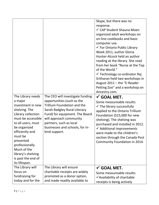|                                                                                                                                                                                                                                                                                                |                                                                                                                                                                                                                                                                                  | Skype, but there was no<br>response.<br>√ CAP Student Shauna Moen<br>organized adult workshops on<br>on-line cookbooks and basic<br>computer use.<br>✔ For Ontario Public Library<br>Week 2011, author Gloria<br>Hunter-Alcock held an author<br>reading at the library. She read<br>from her book "Nurse at the Top<br>of the World."<br>✓ Technology co-ordinator Raj<br>Sritharan held two workshops in<br>August 2011 - the "E-Reader<br>Petting Zoo" and a workshop on<br>Ancestry.com. |
|------------------------------------------------------------------------------------------------------------------------------------------------------------------------------------------------------------------------------------------------------------------------------------------------|----------------------------------------------------------------------------------------------------------------------------------------------------------------------------------------------------------------------------------------------------------------------------------|----------------------------------------------------------------------------------------------------------------------------------------------------------------------------------------------------------------------------------------------------------------------------------------------------------------------------------------------------------------------------------------------------------------------------------------------------------------------------------------------|
| The Library needs<br>a major<br>investment in new<br>shelving. The<br>Library collection<br>must be accessible<br>to all users, must<br>be organized<br>efficiently and<br>must be<br>presented<br>professionally.<br>Much of the<br>library's shelving<br>is past the end of<br>its lifespan. | The CEO will investigate funding<br>opportunities (such as the<br><b>Trillium Foundation and the</b><br>Sarah Badgley Rural Literacy<br>Fund) for equipment. The Board<br>will approach community<br>partners, such as local<br>businesses and schools, for in-<br>kind support. | $\checkmark$ GOAL MET.<br>Some measureable results:<br>$\checkmark$ The library successfully<br>applied to the Ontario Trillium<br>Foundation (\$15,000 for new<br>shelving). The shelving was<br>purchased and installed in 2012.<br>$\checkmark$ Additional improvements<br>were made to the children's<br>section through the Canada Post<br>Community Foundation in 2014.                                                                                                                |
| The Library will<br>focus on<br>fundraising for<br>today and for the                                                                                                                                                                                                                           | The Library will ensure<br>charitable receipts are widely<br>promoted as a donor option,<br>and made readily available to                                                                                                                                                        | $\checkmark$ GOAL MET.<br>Some measureable results:<br>✔ Availability of charitable<br>receipts is being actively                                                                                                                                                                                                                                                                                                                                                                            |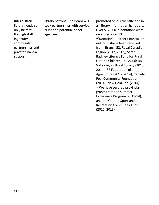| future. Basic     | library patrons. The Board will | promoted on our website and in               |
|-------------------|---------------------------------|----------------------------------------------|
| library needs can | seek partnerships with service  | all library information handouts.            |
| only be met       | clubs and potential donor       | Over \$12,000 in donations were              |
| through staff     | agencies.                       | receipted in 2013.                           |
| ingenuity,        |                                 | $\checkmark$ Donations – either financial or |
| community         |                                 | in-kind - shave been received                |
| partnerships and  |                                 | from: Branch 52, Royal Canadian              |
| private financial |                                 | Legion (2012, 2013); Sarah                   |
| support.          |                                 | <b>Badgley Literacy Fund for Rural</b>       |
|                   |                                 | Ontario Children (2012/13); RR               |
|                   |                                 | Valley Agricultural Society (2013,           |
|                   |                                 | 2014); RR Federation of                      |
|                   |                                 | Agriculture (2013, 2014); Canada             |
|                   |                                 | <b>Post Community Foundation</b>             |
|                   |                                 | (2014); New Gold, Inc. (2014).               |
|                   |                                 | $\checkmark$ We have secured provincial      |
|                   |                                 | grants from the Summer                       |
|                   |                                 | Experience Program (2011-14),                |
|                   |                                 | and the Ontario Sport and                    |
|                   |                                 | <b>Recreation Community Fund</b>             |
|                   |                                 | (2012, 2013).                                |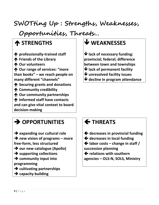**SWOTting Up : Strengths, Weaknesses,**

 **Opportunities, Threats…**

# **STRENGTHS**

 **professionally-trained staff Friends of the Library Our volunteers Our range of services: "more than books" – we reach people on many different "channels" Securing grants and donations Community credibility Our community partnerships Informed staff have contacts and can give vital context to board decision-making**

# **WEAKNESSES**

 **lack of necessary funding: provincial; federal; difference between town and townships lack of permanent facility**

- **unresolved facility issues**
- **decline in program attendance**

# $\rightarrow$  OPPORTUNITIES

 **expanding our cultural role new vision of programs – more free-form, less structured → our new catalogue (Apollo) supporting collections community input into programming cultivating partnerships**

**capacity building**

# **THREATS**

- **decreases in provincial funding**
- **decreases in local funding**
- **labor costs – change in staff /**
- **succession planning**
- **relations with southern**

**agencies – OLS-N, SOLS, Ministry**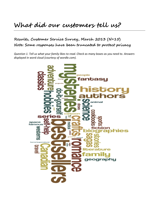# **What did our customers tell us?**

### **Results, Customer Service Survey, March 2013 (N=15) Note: Some responses have been truncated to protect privacy**

*Question 1. Tell us what your family likes to read. Check as many boxes as you need to. Answers displayed in word cloud (courtesy of wordle.com).*

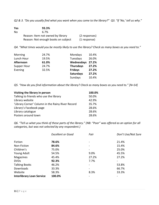*Q2 & 3. "Do you usually find what you want when you come to the library?" Q3. "If 'No,' tell us why."*

| <b>Yes</b> | 93.3%                               |               |
|------------|-------------------------------------|---------------|
| No.        | 6.7%                                |               |
|            | Reason: Item not owned by library   | (2 responses) |
|            | Reason: Not enough books on subject | (1 response)  |

*Q4. "What times would you be mostly likely to use the library? Check as many boxes as you need to."*

| Morning     | 24.7% | Mondays          | 10.4% |
|-------------|-------|------------------|-------|
| Lunch Hour  | 19.5% | Tuesdays         | 26.0% |
| Afternoon   | 61.0% | Wednesdays       | 27.2% |
| Supper Hour | 24.7% | <b>Thursdays</b> | 27.2% |
| Evening     | 32.5% | <b>Fridays</b>   | 27.2% |
|             |       | <b>Saturdays</b> | 27.2% |
|             |       | Sundays          | 10.4% |

*Q5. "How do you find information about the library? Check as many boxes as you need to." [N=14]*

| Visiting the library in person                    | 100.0% |
|---------------------------------------------------|--------|
| Talking to friends who use the library            | 50.0%  |
| Library website                                   | 42.9%  |
| 'Library Corner' Column in the Rainy River Record | 35.7%  |
| Library's Facebook page                           | 28.6%  |
| Library catalogue                                 | 28.6%  |
| Posters around town                               | 28.6%  |

*Q6. "Tell us what you think of these parts of the library." (NB: "Poor" was offered as an option for all categories, but was not selected by any respondent.)*

|                                  | <b>Excellent or Good</b> | Fair  | Don't Use/Not Sure       |
|----------------------------------|--------------------------|-------|--------------------------|
| Fiction                          | 78.6%                    |       | 21.4%                    |
| Non-Fiction                      | 84.6%                    |       | 15.4%                    |
| Children's                       | 75.0%                    |       | 25.0%                    |
| Young Adult                      | 54.5%                    | 9.0%  | 45.5%                    |
| Magazines                        | 45.4%                    | 27.2% | 27.2%                    |
| <b>DVDs</b>                      | 92.3%                    | 7.7%  | $\overline{\phantom{a}}$ |
| <b>Talking Books</b>             | 46.2%                    |       | 53.8%                    |
| Downloads                        | 33.3%                    |       | 66.7%                    |
| Website                          | 58.3%                    | 8.3%  | 33.3%                    |
| <b>Interlibrary Loan Service</b> | 100.0%                   |       |                          |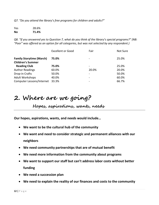*Q7. "Do you attend the library's free programs for children and adults?"*

Yes 28.6% **No 71.4%**

*Q8. "If you answered yes to Question 7, what do you think of the library's special programs?" (NB: "Poor" was offered as an option for all categories, but was not selected by any respondent.)*

|                                                             | <b>Excellent or Good</b> | Fair  | Not Sure |
|-------------------------------------------------------------|--------------------------|-------|----------|
| <b>Family Storytime (March)</b><br><b>Children's Summer</b> | 75.0%                    |       | 25.0%    |
| <b>Reading Club</b>                                         | 75.0%                    |       | 25.0%    |
| <b>Author Readings</b>                                      | 60.0%                    | 20.0% | 20.0%    |
| Drop-in Crafts                                              | 50.0%                    |       | 50.0%    |
| <b>Adult Workshops</b>                                      | 40.0%                    |       | 60.0%    |
| Computer Lessons/Internet                                   | 33.3%                    |       | 66.7%    |

## **2. Where are we going?**

**Hopes, aspirations, wants, needs**

**Our hopes, aspirations, wants, and needs would include…**

- **We want to be the cultural hub of the community**
- **We want and need to consider strategic and permanent alliances with our neighbors**
- **We need community partnerships that are of mutual benefit**
- **We need more information from the community about programs**
- **We want to support our staff but can't address labor costs without better funding**
- **We need a succession plan**
- **We need to explain the reality of our finances and costs to the community**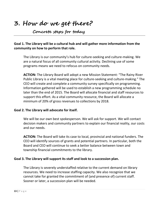**3. How do we get there?**

**Concrete steps for today**

### **Goal 1. The Library will be a cultural hub and will gather more information from the community on how to perform that role.**

The Library is our community's hub for culture-seeking and culture-making. We are a natural focus of all community cultural activity. Declining use of some programs means we need to refocus on community needs.

**ACTION:** The Library Board will adopt a new Mission Statement: "The Rainy River Public Library is a vital meeting place for culture-seeking and culture-making." The CEO will create and complete a community survey specifically on programming. Information gathered will be used to establish a new programming schedule no later than the end of 2015. The Board will allocate financial and staff resources to support this effort. As a vital community resource, the Board will allocate a minimum of 20% of gross revenues to collections by 2018.

### **Goal 2. The Library will advocate for itself.**

We will be our own best spokesperson. We will ask for support. We will contact decision makers and community partners to explain our financial reality, our costs and our needs.

**ACTION:** The Board will take its case to local, provincial and national funders. The CEO will identify sources of grants and potential partners. In particular, both the Board and CEO will continue to seek a better balance between town and township financial commitments to the library.

#### **Goal 3. The Library will support its staff and look to a succession plan.**

The Library is severely understaffed relative to the current demand on library resources. We need to increase staffing capacity. We also recognize that we cannot take for granted the commitment of (and presence of) current staff. Sooner or later, a succession plan will be needed.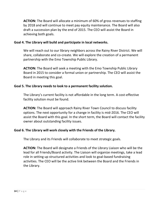**ACTION:** The Board will allocate a minimum of 60% of gross revenues to staffing by 2018 and will continue to meet pay equity maintenance. The Board will also draft a succession plan by the end of 2015. The CEO will assist the Board in achieving both goals.

### **Goal 4. The Library will build and participate in local networks.**

We will reach out to our library neighbors across the Rainy River District. We will share, collaborate and co-create. We will explore the creation of a permanent partnership with the Emo Township Public Library.

**ACTION:** The Board will seek a meeting with the Emo Township Public Library Board in 2015 to consider a formal union or partnership. The CEO will assist the Board in meeting this goal.

### **Goal 5. The Library needs to look to a permanent facility solution.**

The Library's current facility is not affordable in the long term. A cost-effective facility solution must be found.

**ACTION:** The Board will approach Rainy River Town Council to discuss facility options. The next opportunity for a change in facility is mid-2016. The CEO will assist the Board with this goal. In the short term, the Board will contact the facility owner about outstanding facility issues.

### **Goal 6. The Library will work closely with the Friends of the Library.**

The Library and its Friends will collaborate to meet strategic goals.

**ACTION:** The Board will designate a Friends of the Library Liaison who will be the lead for all Friends/Board activity. The Liaison will organize meetings, take a lead role in setting up structured activities and look to goal-based fundraising activities. The CEO will be the active link between the Board and the Friends in the Library.